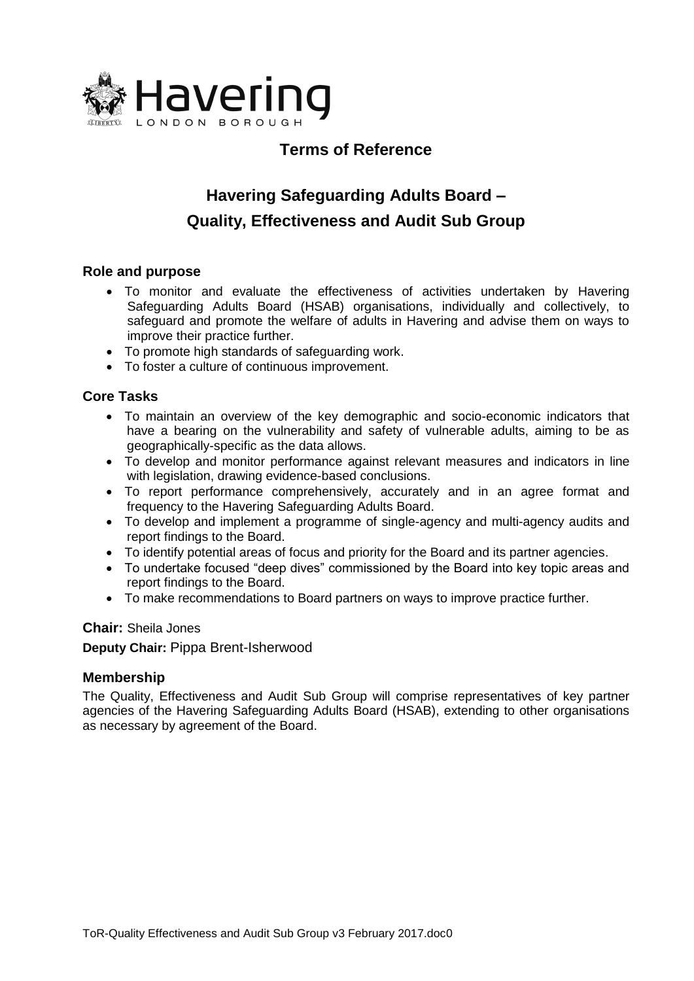

# **Terms of Reference**

# **Havering Safeguarding Adults Board – Quality, Effectiveness and Audit Sub Group**

# **Role and purpose**

- To monitor and evaluate the effectiveness of activities undertaken by Havering Safeguarding Adults Board (HSAB) organisations, individually and collectively, to safeguard and promote the welfare of adults in Havering and advise them on ways to improve their practice further.
- To promote high standards of safeguarding work.
- To foster a culture of continuous improvement.

# **Core Tasks**

- To maintain an overview of the key demographic and socio-economic indicators that have a bearing on the vulnerability and safety of vulnerable adults, aiming to be as geographically-specific as the data allows.
- To develop and monitor performance against relevant measures and indicators in line with legislation, drawing evidence-based conclusions.
- To report performance comprehensively, accurately and in an agree format and frequency to the Havering Safeguarding Adults Board.
- To develop and implement a programme of single-agency and multi-agency audits and report findings to the Board.
- To identify potential areas of focus and priority for the Board and its partner agencies.
- To undertake focused "deep dives" commissioned by the Board into key topic areas and report findings to the Board.
- To make recommendations to Board partners on ways to improve practice further.

#### **Chair:** Sheila Jones

**Deputy Chair:** Pippa Brent-Isherwood

## **Membership**

The Quality, Effectiveness and Audit Sub Group will comprise representatives of key partner agencies of the Havering Safeguarding Adults Board (HSAB), extending to other organisations as necessary by agreement of the Board.